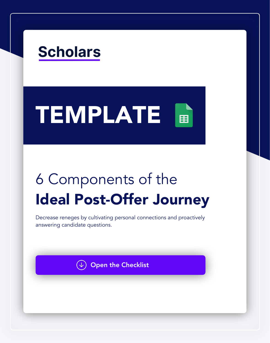## **Scholars**

## TEMPLATE 圉

# 6 Components of the Ideal Post-Offer Journey

Decrease reneges by cultivating personal connections and proactively answering candidate questions.

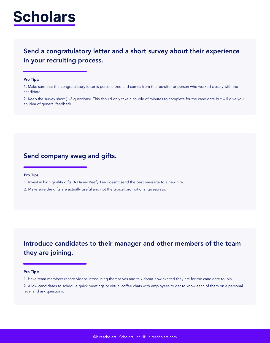@hirescholars | Scholars, Inc. ® | hirescholars.com

## **Scholars**

### Send a congratulatory letter and a short survey about their experience in your recruiting process.

#### Pro Tips:

1. Make sure that the congratulatory letter is personalized and comes from the recruiter or person who worked closely with the candidate.

2. Keep the survey short (1-3 questions). This should only take a couple of minutes to complete for the candidate but will give you an idea of general feedback.

Introduce candidates to their manager and other members of the team

they are joining.

#### Pro Tips:

1. Have team members record videos introducing themselves and talk about how excited they are for the candidate to join.

2. Allow candidates to schedule quick meetings or virtual coffee chats with employees to get to know each of them on a personal level and ask questions.

### Send company swag and gifts.

#### Pro Tips:

1. Invest in high quality gifts. A Hanes Beefy Tee doesn't send the best message to a new hire.

2. Make sure the gifts are actually useful and not the typical promotional giveaways.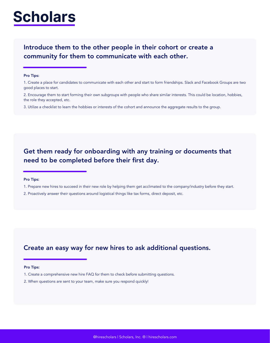## **Scholars**

### Introduce them to the other people in their cohort or create a community for them to communicate with each other.

#### Pro Tips:

- 2. Encourage them to start forming their own subgroups with people who share similar interests. This could be location, hobbies, the role they accepted, etc.
- 3. Utilize a checklist to learn the hobbies or interests of the cohort and announce the aggregate results to the group.

### Get them ready for onboarding with any training or documents that need to be completed before their first day.

### Pro Tips:

- 1. Prepare new hires to succeed in their new role by helping them get acclimated to the company/industry before they start.
- 2. Proactively answer their questions around logistical things like tax forms, direct deposit, etc.

### Create an easy way for new hires to ask additional questions.

#### Pro Tips:

- 1. Create a comprehensive new hire FAQ for them to check before submitting questions.
- 2. When questions are sent to your team, make sure you respond quickly!

<sup>1.</sup> Create a place for candidates to communicate with each other and start to form friendships. Slack and Facebook Groups are two good places to start.